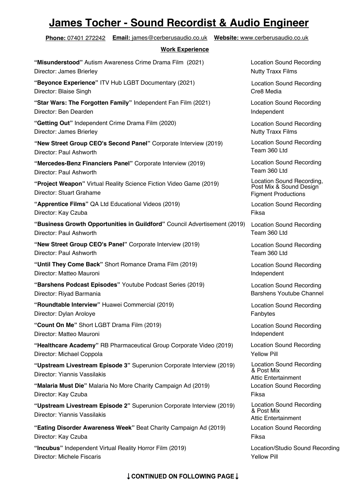## **James Tocher - Sound Recordist & Audio Engineer**

**"Upstream Livestream Episode 3"** Superunion Corporate Interview (2019) Director: Yiannis Vassilakis **Phone:** 07401 272242 **Email:** james@cerberusaudio.co.uk **Website:** www.cerberusaudio.co.uk **Work Experience "Incubus"** Independent Virtual Reality Horror Film (2019) Location/Studio Sound Recording **"Eating Disorder Awareness Week"** Beat Charity Campaign Ad (2019) Location Sound Recording Director: Kay Czuba Fiksa **"Upstream Livestream Episode 2"** Superunion Corporate Interview (2019) Director: Yiannis Vassilakis Location Sound Recording & Post Mix Attic Entertainment **"Malaria Must Die"** Malaria No More Charity Campaign Ad (2019) Director: Kay Czuba Location Sound Recording Fiksa Location Sound Recording & Post Mix **"Healthcare Academy"** RB Pharmaceutical Group Corporate Video (2019) Director: Michael Coppola **"Count On Me"** Short LGBT Drama Film (2019) Director: Matteo Mauroni **"Roundtable Interview"** Huawei Commercial (2019) Director: Dylan Aroloye Attic Entertainment Location Sound Recording Yellow Pill Location Sound Recording Independent Location Sound Recording Fanbytes **"Barshens Podcast Episodes"** Youtube Podcast Series (2019) Director: Riyad Barmania Location Sound Recording Barshens Youtube Channel **"Until They Come Back"** Short Romance Drama Film (2019) Director: Matteo Mauroni Location Sound Recording Independent **"New Street Group CEO's Panel"** Corporate Interview (2019) Director: Paul Ashworth Location Sound Recording Team 360 Ltd **"Business Growth Opportunities in Guildford"** Council Advertisement (2019) Director: Paul Ashworth Location Sound Recording Team 360 Ltd **"Apprentice Films"** QA Ltd Educational Videos (2019) Director: Kay Czuba Location Sound Recording Fiksa **"Project Weapon"** Virtual Reality Science Fiction Video Game (2019) Director: Stuart Grahame Location Sound Recording, Post Mix & Sound Design Figment Productions **"Mercedes-Benz Financiers Panel"** Corporate Interview (2019) Director: Paul Ashworth Location Sound Recording Team 360 Ltd **"New Street Group CEO's Second Panel"** Corporate Interview (2019) Director: Paul Ashworth Location Sound Recording Team 360 Ltd **"Getting Out"** Independent Crime Drama Film (2020) Director: James Brierley **"Star Wars: The Forgotten Family"** Independent Fan Film (2021) Location Sound Recording Director: Ben Dearden **Independent** Independent Location Sound Recording Nutty Traxx Films **"Beyonce Experience"** ITV Hub LGBT Documentary (2021) Director: Blaise Singh **"Misunderstood"** Autism Awareness Crime Drama Film (2021) Location Sound Recording Director: James Brierley Nutty Traxx Films Location Sound Recording Cre8 Media

Director: Michele Fiscaris Yellow Pill